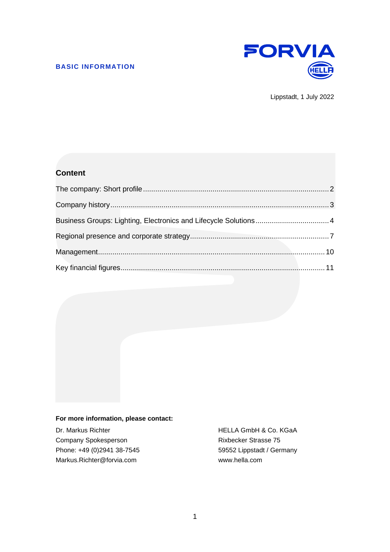

Lippstadt, 1 July 2022

# **Content**

| Business Groups: Lighting, Electronics and Lifecycle Solutions 4 |  |
|------------------------------------------------------------------|--|
|                                                                  |  |
|                                                                  |  |
|                                                                  |  |

#### **For more information, please contact:**

Company Spokesperson **Rixbecker Strasse 75** Phone: +49 (0)2941 38-7545 59552 Lippstadt / Germany Markus.Richter@forvia.com www.hella.com

Dr. Markus Richter **HELLA GmbH & Co. KGaA**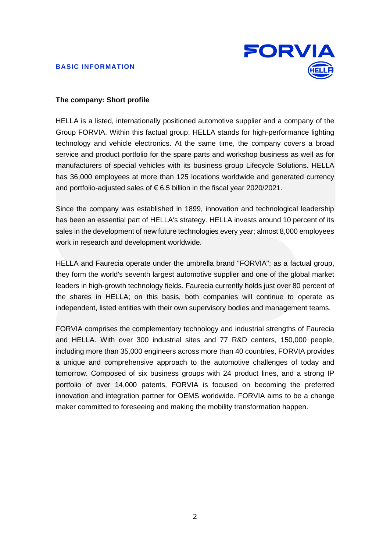

# <span id="page-1-0"></span>**The company: Short profile**

HELLA is a listed, internationally positioned automotive supplier and a company of the Group FORVIA. Within this factual group, HELLA stands for high-performance lighting technology and vehicle electronics. At the same time, the company covers a broad service and product portfolio for the spare parts and workshop business as well as for manufacturers of special vehicles with its business group Lifecycle Solutions. HELLA has 36,000 employees at more than 125 locations worldwide and generated currency and portfolio-adjusted sales of € 6.5 billion in the fiscal year 2020/2021.

Since the company was established in 1899, innovation and technological leadership has been an essential part of HELLA's strategy. HELLA invests around 10 percent of its sales in the development of new future technologies every year; almost 8,000 employees work in research and development worldwide.

HELLA and Faurecia operate under the umbrella brand "FORVIA"; as a factual group, they form the world's seventh largest automotive supplier and one of the global market leaders in high-growth technology fields. Faurecia currently holds just over 80 percent of the shares in HELLA; on this basis, both companies will continue to operate as independent, listed entities with their own supervisory bodies and management teams.

FORVIA comprises the complementary technology and industrial strengths of Faurecia and HELLA. With over 300 industrial sites and 77 R&D centers, 150,000 people, including more than 35,000 engineers across more than 40 countries, FORVIA provides a unique and comprehensive approach to the automotive challenges of today and tomorrow. Composed of six business groups with 24 product lines, and a strong IP portfolio of over 14,000 patents, FORVIA is focused on becoming the preferred innovation and integration partner for OEMS worldwide. FORVIA aims to be a change maker committed to foreseeing and making the mobility transformation happen.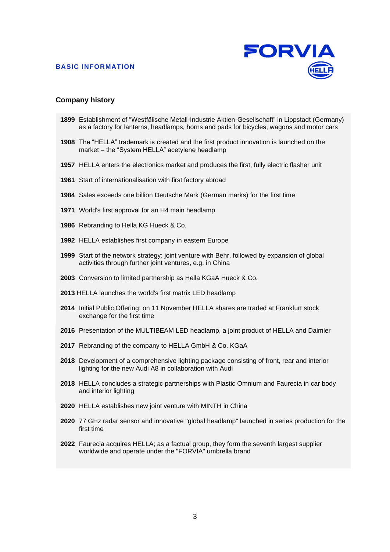

#### <span id="page-2-0"></span>**Company history**

- Establishment of "Westfälische Metall-Industrie Aktien-Gesellschaft" in Lippstadt (Germany) as a factory for lanterns, headlamps, horns and pads for bicycles, wagons and motor cars
- The "HELLA" trademark is created and the first product innovation is launched on the market – the "System HELLA" acetylene headlamp
- HELLA enters the electronics market and produces the first, fully electric flasher unit
- Start of internationalisation with first factory abroad
- Sales exceeds one billion Deutsche Mark (German marks) for the first time
- World's first approval for an H4 main headlamp
- Rebranding to Hella KG Hueck & Co.
- HELLA establishes first company in eastern Europe
- Start of the network strategy: joint venture with Behr, followed by expansion of global activities through further joint ventures, e.g. in China
- Conversion to limited partnership as Hella KGaA Hueck & Co.
- HELLA launches the world's first matrix LED headlamp
- Initial Public Offering: on 11 November HELLA shares are traded at Frankfurt stock exchange for the first time
- Presentation of the MULTIBEAM LED headlamp, a joint product of HELLA and Daimler
- Rebranding of the company to HELLA GmbH & Co. KGaA
- Development of a comprehensive lighting package consisting of front, rear and interior lighting for the new Audi A8 in collaboration with Audi
- HELLA concludes a strategic partnerships with Plastic Omnium and Faurecia in car body and interior lighting
- HELLA establishes new joint venture with MINTH in China
- 77 GHz radar sensor and innovative "global headlamp" launched in series production for the first time
- Faurecia acquires HELLA; as a factual group, they form the seventh largest supplier worldwide and operate under the "FORVIA" umbrella brand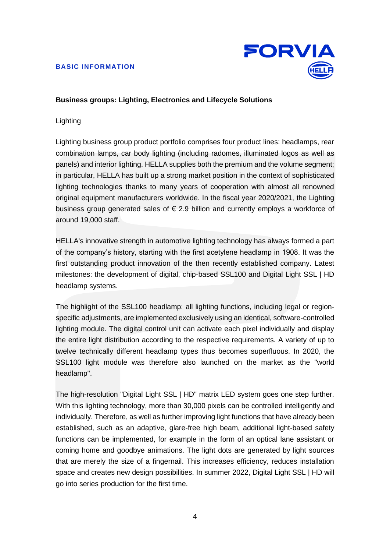

# <span id="page-3-0"></span>**Business groups: Lighting, Electronics and Lifecycle Solutions**

# Lighting

Lighting business group product portfolio comprises four product lines: headlamps, rear combination lamps, car body lighting (including radomes, illuminated logos as well as panels) and interior lighting. HELLA supplies both the premium and the volume segment; in particular, HELLA has built up a strong market position in the context of sophisticated lighting technologies thanks to many years of cooperation with almost all renowned original equipment manufacturers worldwide. In the fiscal year 2020/2021, the Lighting business group generated sales of  $\epsilon$  2.9 billion and currently employs a workforce of around 19,000 staff.

HELLA's innovative strength in automotive lighting technology has always formed a part of the company's history, starting with the first acetylene headlamp in 1908. It was the first outstanding product innovation of the then recently established company. Latest milestones: the development of digital, chip-based SSL100 and Digital Light SSL | HD headlamp systems.

The highlight of the SSL100 headlamp: all lighting functions, including legal or regionspecific adjustments, are implemented exclusively using an identical, software-controlled lighting module. The digital control unit can activate each pixel individually and display the entire light distribution according to the respective requirements. A variety of up to twelve technically different headlamp types thus becomes superfluous. In 2020, the SSL100 light module was therefore also launched on the market as the "world headlamp".

The high-resolution "Digital Light SSL | HD" matrix LED system goes one step further. With this lighting technology, more than 30,000 pixels can be controlled intelligently and individually. Therefore, as well as further improving light functions that have already been established, such as an adaptive, glare-free high beam, additional light-based safety functions can be implemented, for example in the form of an optical lane assistant or coming home and goodbye animations. The light dots are generated by light sources that are merely the size of a fingernail. This increases efficiency, reduces installation space and creates new design possibilities. In summer 2022, Digital Light SSL | HD will go into series production for the first time.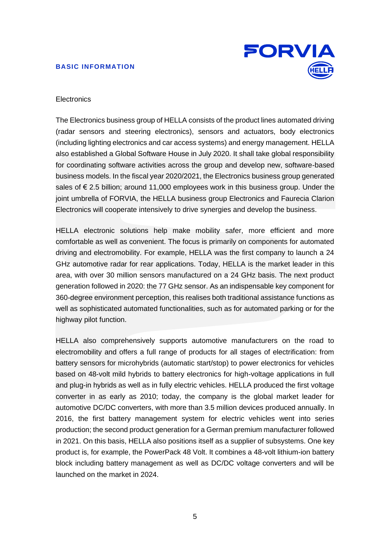

# **Electronics**

The Electronics business group of HELLA consists of the product lines automated driving (radar sensors and steering electronics), sensors and actuators, body electronics (including lighting electronics and car access systems) and energy management. HELLA also established a Global Software House in July 2020. It shall take global responsibility for coordinating software activities across the group and develop new, software-based business models. In the fiscal year 2020/2021, the Electronics business group generated sales of € 2.5 billion; around 11,000 employees work in this business group. Under the joint umbrella of FORVIA, the HELLA business group Electronics and Faurecia Clarion Electronics will cooperate intensively to drive synergies and develop the business.

HELLA electronic solutions help make mobility safer, more efficient and more comfortable as well as convenient. The focus is primarily on components for automated driving and electromobility. For example, HELLA was the first company to launch a 24 GHz automotive radar for rear applications. Today, HELLA is the market leader in this area, with over 30 million sensors manufactured on a 24 GHz basis. The next product generation followed in 2020: the 77 GHz sensor. As an indispensable key component for 360-degree environment perception, this realises both traditional assistance functions as well as sophisticated automated functionalities, such as for automated parking or for the highway pilot function.

HELLA also comprehensively supports automotive manufacturers on the road to electromobility and offers a full range of products for all stages of electrification: from battery sensors for microhybrids (automatic start/stop) to power electronics for vehicles based on 48-volt mild hybrids to battery electronics for high-voltage applications in full and plug-in hybrids as well as in fully electric vehicles. HELLA produced the first voltage converter in as early as 2010; today, the company is the global market leader for automotive DC/DC converters, with more than 3.5 million devices produced annually. In 2016, the first battery management system for electric vehicles went into series production; the second product generation for a German premium manufacturer followed in 2021. On this basis, HELLA also positions itself as a supplier of subsystems. One key product is, for example, the PowerPack 48 Volt. It combines a 48-volt lithium-ion battery block including battery management as well as DC/DC voltage converters and will be launched on the market in 2024.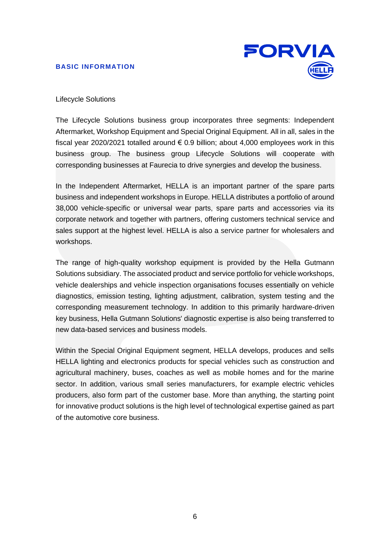

# Lifecycle Solutions

The Lifecycle Solutions business group incorporates three segments: Independent Aftermarket, Workshop Equipment and Special Original Equipment. All in all, sales in the fiscal year 2020/2021 totalled around  $\epsilon$  0.9 billion; about 4,000 employees work in this business group. The business group Lifecycle Solutions will cooperate with corresponding businesses at Faurecia to drive synergies and develop the business.

In the Independent Aftermarket, HELLA is an important partner of the spare parts business and independent workshops in Europe. HELLA distributes a portfolio of around 38,000 vehicle-specific or universal wear parts, spare parts and accessories via its corporate network and together with partners, offering customers technical service and sales support at the highest level. HELLA is also a service partner for wholesalers and workshops.

The range of high-quality workshop equipment is provided by the Hella Gutmann Solutions subsidiary. The associated product and service portfolio for vehicle workshops, vehicle dealerships and vehicle inspection organisations focuses essentially on vehicle diagnostics, emission testing, lighting adjustment, calibration, system testing and the corresponding measurement technology. In addition to this primarily hardware-driven key business, Hella Gutmann Solutions' diagnostic expertise is also being transferred to new data-based services and business models.

Within the Special Original Equipment segment, HELLA develops, produces and sells HELLA lighting and electronics products for special vehicles such as construction and agricultural machinery, buses, coaches as well as mobile homes and for the marine sector. In addition, various small series manufacturers, for example electric vehicles producers, also form part of the customer base. More than anything, the starting point for innovative product solutions is the high level of technological expertise gained as part of the automotive core business.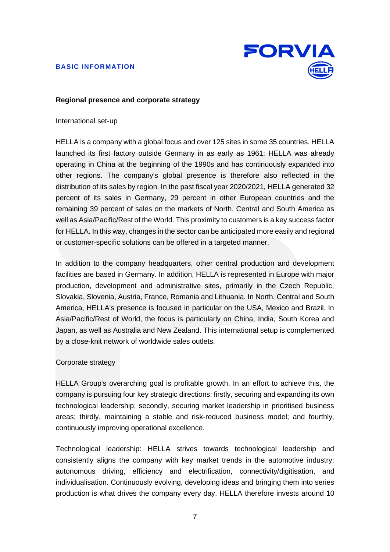

#### <span id="page-6-0"></span>**Regional presence and corporate strategy**

#### International set-up

HELLA is a company with a global focus and over 125 sites in some 35 countries. HELLA launched its first factory outside Germany in as early as 1961; HELLA was already operating in China at the beginning of the 1990s and has continuously expanded into other regions. The company's global presence is therefore also reflected in the distribution of its sales by region. In the past fiscal year 2020/2021, HELLA generated 32 percent of its sales in Germany, 29 percent in other European countries and the remaining 39 percent of sales on the markets of North, Central and South America as well as Asia/Pacific/Rest of the World. This proximity to customers is a key success factor for HELLA. In this way, changes in the sector can be anticipated more easily and regional or customer-specific solutions can be offered in a targeted manner.

In addition to the company headquarters, other central production and development facilities are based in Germany. In addition, HELLA is represented in Europe with major production, development and administrative sites, primarily in the Czech Republic, Slovakia, Slovenia, Austria, France, Romania and Lithuania. In North, Central and South America, HELLA's presence is focused in particular on the USA, Mexico and Brazil. In Asia/Pacific/Rest of World, the focus is particularly on China, India, South Korea and Japan, as well as Australia and New Zealand. This international setup is complemented by a close-knit network of worldwide sales outlets.

#### Corporate strategy

HELLA Group's overarching goal is profitable growth. In an effort to achieve this, the company is pursuing four key strategic directions: firstly, securing and expanding its own technological leadership; secondly, securing market leadership in prioritised business areas; thirdly, maintaining a stable and risk-reduced business model; and fourthly, continuously improving operational excellence.

Technological leadership: HELLA strives towards technological leadership and consistently aligns the company with key market trends in the automotive industry: autonomous driving, efficiency and electrification, connectivity/digitisation, and individualisation. Continuously evolving, developing ideas and bringing them into series production is what drives the company every day. HELLA therefore invests around 10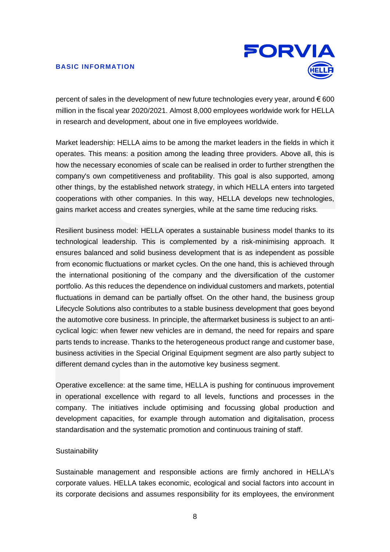

percent of sales in the development of new future technologies every year, around  $\epsilon$  600 million in the fiscal year 2020/2021. Almost 8,000 employees worldwide work for HELLA in research and development, about one in five employees worldwide.

Market leadership: HELLA aims to be among the market leaders in the fields in which it operates. This means: a position among the leading three providers. Above all, this is how the necessary economies of scale can be realised in order to further strengthen the company's own competitiveness and profitability. This goal is also supported, among other things, by the established network strategy, in which HELLA enters into targeted cooperations with other companies. In this way, HELLA develops new technologies, gains market access and creates synergies, while at the same time reducing risks.

Resilient business model: HELLA operates a sustainable business model thanks to its technological leadership. This is complemented by a risk-minimising approach. It ensures balanced and solid business development that is as independent as possible from economic fluctuations or market cycles. On the one hand, this is achieved through the international positioning of the company and the diversification of the customer portfolio. As this reduces the dependence on individual customers and markets, potential fluctuations in demand can be partially offset. On the other hand, the business group Lifecycle Solutions also contributes to a stable business development that goes beyond the automotive core business. In principle, the aftermarket business is subject to an anticyclical logic: when fewer new vehicles are in demand, the need for repairs and spare parts tends to increase. Thanks to the heterogeneous product range and customer base, business activities in the Special Original Equipment segment are also partly subject to different demand cycles than in the automotive key business segment.

Operative excellence: at the same time, HELLA is pushing for continuous improvement in operational excellence with regard to all levels, functions and processes in the company. The initiatives include optimising and focussing global production and development capacities, for example through automation and digitalisation, process standardisation and the systematic promotion and continuous training of staff.

# **Sustainability**

Sustainable management and responsible actions are firmly anchored in HELLA's corporate values. HELLA takes economic, ecological and social factors into account in its corporate decisions and assumes responsibility for its employees, the environment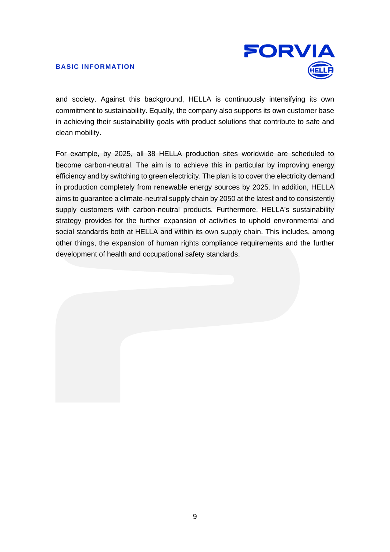

and society. Against this background, HELLA is continuously intensifying its own commitment to sustainability. Equally, the company also supports its own customer base in achieving their sustainability goals with product solutions that contribute to safe and clean mobility.

For example, by 2025, all 38 HELLA production sites worldwide are scheduled to become carbon-neutral. The aim is to achieve this in particular by improving energy efficiency and by switching to green electricity. The plan is to cover the electricity demand in production completely from renewable energy sources by 2025. In addition, HELLA aims to guarantee a climate-neutral supply chain by 2050 at the latest and to consistently supply customers with carbon-neutral products. Furthermore, HELLA's sustainability strategy provides for the further expansion of activities to uphold environmental and social standards both at HELLA and within its own supply chain. This includes, among other things, the expansion of human rights compliance requirements and the further development of health and occupational safety standards.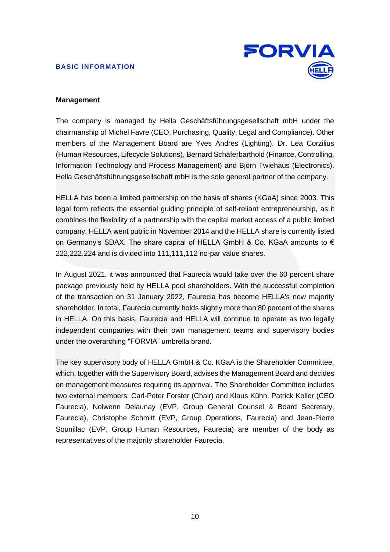

# <span id="page-9-0"></span>**Management**

The company is managed by Hella Geschäftsführungsgesellschaft mbH under the chairmanship of Michel Favre (CEO, Purchasing, Quality, Legal and Compliance). Other members of the Management Board are Yves Andres (Lighting), Dr. Lea Corzilius (Human Resources, Lifecycle Solutions), Bernard Schäferbarthold (Finance, Controlling, Information Technology and Process Management) and Björn Twiehaus (Electronics). Hella Geschäftsführungsgesellschaft mbH is the sole general partner of the company.

HELLA has been a limited partnership on the basis of shares (KGaA) since 2003. This legal form reflects the essential guiding principle of self-reliant entrepreneurship, as it combines the flexibility of a partnership with the capital market access of a public limited company. HELLA went public in November 2014 and the HELLA share is currently listed on Germany's SDAX. The share capital of HELLA GmbH & Co. KGaA amounts to  $\epsilon$ 222,222,224 and is divided into 111,111,112 no-par value shares.

In August 2021, it was announced that Faurecia would take over the 60 percent share package previously held by HELLA pool shareholders. With the successful completion of the transaction on 31 January 2022, Faurecia has become HELLA's new majority shareholder. In total, Faurecia currently holds slightly more than 80 percent of the shares in HELLA. On this basis, Faurecia and HELLA will continue to operate as two legally independent companies with their own management teams and supervisory bodies under the overarching "FORVIA" umbrella brand.

The key supervisory body of HELLA GmbH & Co. KGaA is the Shareholder Committee, which, together with the Supervisory Board, advises the Management Board and decides on management measures requiring its approval. The Shareholder Committee includes two external members: Carl-Peter Forster (Chair) and Klaus Kühn. Patrick Koller (CEO Faurecia), Nolwenn Delaunay (EVP, Group General Counsel & Board Secretary, Faurecia), Christophe Schmitt (EVP, Group Operations, Faurecia) and Jean-Pierre Sounillac (EVP, Group Human Resources, Faurecia) are member of the body as representatives of the majority shareholder Faurecia.